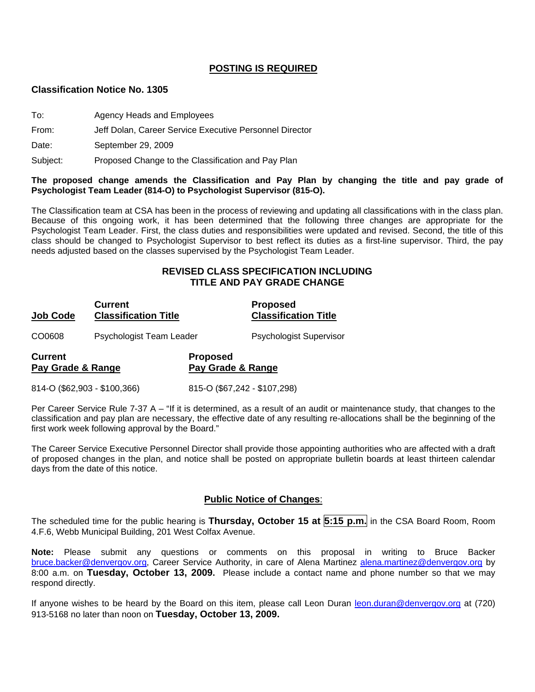## **POSTING IS REQUIRED**

#### **Classification Notice No. 1305**

- To: Agency Heads and Employees
- From: Jeff Dolan, Career Service Executive Personnel Director

Date: September 29, 2009

Subject: Proposed Change to the Classification and Pay Plan

#### **The proposed change amends the Classification and Pay Plan by changing the title and pay grade of Psychologist Team Leader (814-O) to Psychologist Supervisor (815-O).**

The Classification team at CSA has been in the process of reviewing and updating all classifications with in the class plan. Because of this ongoing work, it has been determined that the following three changes are appropriate for the Psychologist Team Leader. First, the class duties and responsibilities were updated and revised. Second, the title of this class should be changed to Psychologist Supervisor to best reflect its duties as a first-line supervisor. Third, the pay needs adjusted based on the classes supervised by the Psychologist Team Leader.

## **REVISED CLASS SPECIFICATION INCLUDING TITLE AND PAY GRADE CHANGE**

| <b>Current</b><br><b>Classification Title</b><br><b>Job Code</b> |                          |                                      | <b>Proposed</b><br><b>Classification Title</b> |
|------------------------------------------------------------------|--------------------------|--------------------------------------|------------------------------------------------|
| CO0608                                                           | Psychologist Team Leader |                                      | Psychologist Supervisor                        |
| <b>Current</b><br>Pay Grade & Range                              |                          | <b>Proposed</b><br>Pay Grade & Range |                                                |
| 814-O (\$62,903 - \$100,366)                                     |                          | 815-O (\$67,242 - \$107,298)         |                                                |

Per Career Service Rule 7-37 A – "If it is determined, as a result of an audit or maintenance study, that changes to the classification and pay plan are necessary, the effective date of any resulting re-allocations shall be the beginning of the first work week following approval by the Board."

The Career Service Executive Personnel Director shall provide those appointing authorities who are affected with a draft of proposed changes in the plan, and notice shall be posted on appropriate bulletin boards at least thirteen calendar days from the date of this notice.

### **Public Notice of Changes**:

The scheduled time for the public hearing is **Thursday, October 15 at 5:15 p.m.** in the CSA Board Room, Room 4.F.6, Webb Municipal Building, 201 West Colfax Avenue.

**Note:** Please submit any questions or comments on this proposal in writing to Bruce Backer [bruce.backer@denvergov.org,](mailto:bruce.backer@denvergov.org) Career Service Authority, in care of Alena Martinez [alena.martinez@denvergov.org](mailto:alena.martinez@denvergov.org) by 8:00 a.m. on **Tuesday, October 13, 2009.** Please include a contact name and phone number so that we may respond directly.

If anyone wishes to be heard by the Board on this item, please call Leon Duran [leon.duran@denvergov.org](mailto:leon.duran@denvergov.org) at (720) 913-5168 no later than noon on **Tuesday, October 13, 2009.**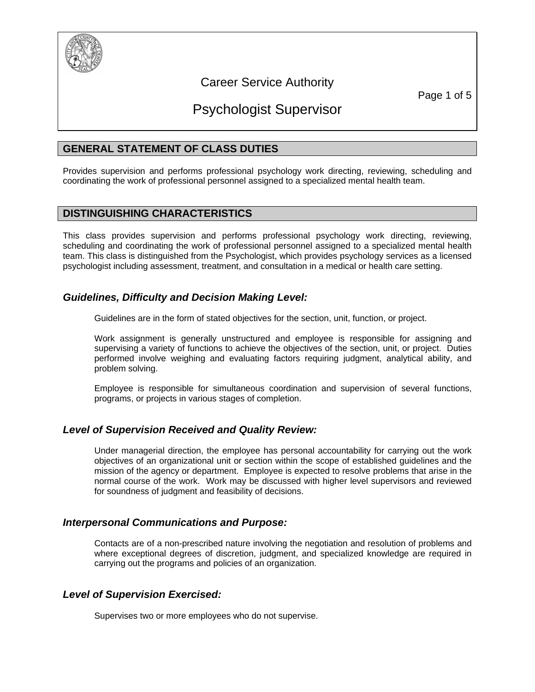

## Career Service Authority

Page 1 of 5

# Psychologist Supervisor

## **GENERAL STATEMENT OF CLASS DUTIES**

Provides supervision and performs professional psychology work directing, reviewing, scheduling and coordinating the work of professional personnel assigned to a specialized mental health team.

## **DISTINGUISHING CHARACTERISTICS**

This class provides supervision and performs professional psychology work directing, reviewing, scheduling and coordinating the work of professional personnel assigned to a specialized mental health team. This class is distinguished from the Psychologist, which provides psychology services as a licensed psychologist including assessment, treatment, and consultation in a medical or health care setting.

## *Guidelines, Difficulty and Decision Making Level:*

Guidelines are in the form of stated objectives for the section, unit, function, or project.

Work assignment is generally unstructured and employee is responsible for assigning and supervising a variety of functions to achieve the objectives of the section, unit, or project. Duties performed involve weighing and evaluating factors requiring judgment, analytical ability, and problem solving.

Employee is responsible for simultaneous coordination and supervision of several functions, programs, or projects in various stages of completion.

## *Level of Supervision Received and Quality Review:*

Under managerial direction, the employee has personal accountability for carrying out the work objectives of an organizational unit or section within the scope of established guidelines and the mission of the agency or department. Employee is expected to resolve problems that arise in the normal course of the work. Work may be discussed with higher level supervisors and reviewed for soundness of judgment and feasibility of decisions.

## *Interpersonal Communications and Purpose:*

Contacts are of a non-prescribed nature involving the negotiation and resolution of problems and where exceptional degrees of discretion, judgment, and specialized knowledge are required in carrying out the programs and policies of an organization.

## *Level of Supervision Exercised:*

Supervises two or more employees who do not supervise.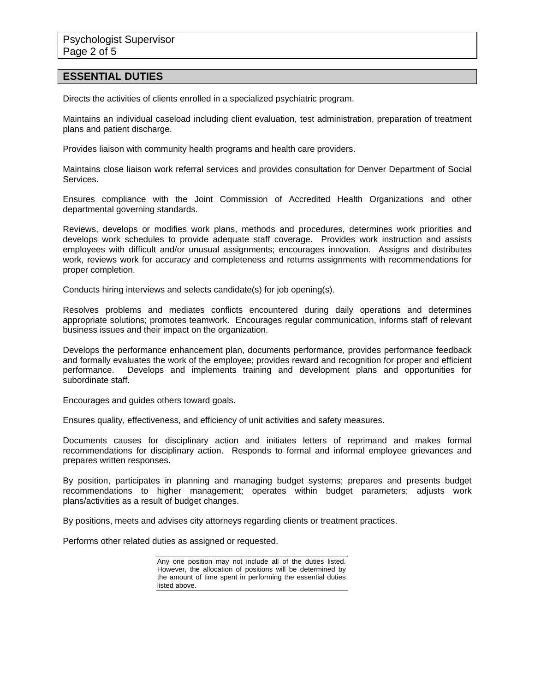### **ESSENTIAL DUTIES**

Directs the activities of clients enrolled in a specialized psychiatric program.

Maintains an individual caseload including client evaluation, test administration, preparation of treatment plans and patient discharge.

Provides liaison with community health programs and health care providers.

Maintains close liaison work referral services and provides consultation for Denver Department of Social Services.

Ensures compliance with the Joint Commission of Accredited Health Organizations and other departmental governing standards.

Reviews, develops or modifies work plans, methods and procedures, determines work priorities and develops work schedules to provide adequate staff coverage. Provides work instruction and assists employees with difficult and/or unusual assignments; encourages innovation. Assigns and distributes work, reviews work for accuracy and completeness and returns assignments with recommendations for proper completion.

Conducts hiring interviews and selects candidate(s) for job opening(s).

Resolves problems and mediates conflicts encountered during daily operations and determines appropriate solutions; promotes teamwork. Encourages regular communication, informs staff of relevant business issues and their impact on the organization.

Develops the performance enhancement plan, documents performance, provides performance feedback and formally evaluates the work of the employee; provides reward and recognition for proper and efficient performance. Develops and implements training and development plans and opportunities for subordinate staff.

Encourages and guides others toward goals.

Ensures quality, effectiveness, and efficiency of unit activities and safety measures.

Documents causes for disciplinary action and initiates letters of reprimand and makes formal recommendations for disciplinary action. Responds to formal and informal employee grievances and prepares written responses.

By position, participates in planning and managing budget systems; prepares and presents budget recommendations to higher management; operates within budget parameters; adjusts work plans/activities as a result of budget changes.

By positions, meets and advises city attorneys regarding clients or treatment practices.

Performs other related duties as assigned or requested.

Any one position may not include all of the duties listed. However, the allocation of positions will be determined by the amount of time spent in performing the essential duties listed above.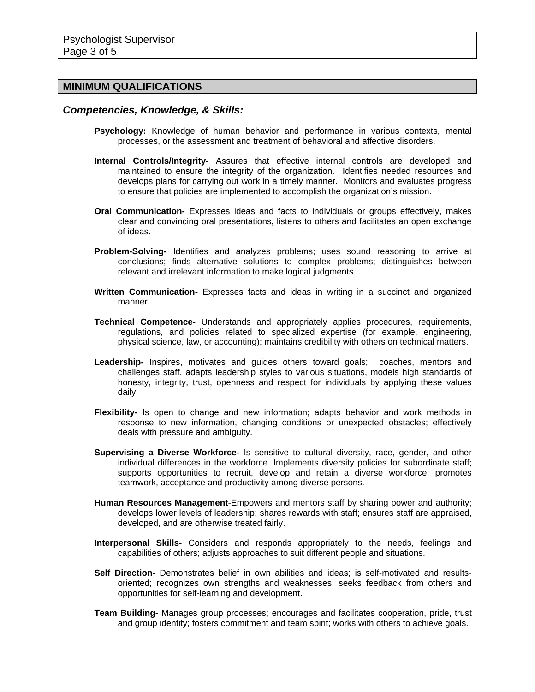### **MINIMUM QUALIFICATIONS**

#### *Competencies, Knowledge, & Skills:*

- **Psychology:** Knowledge of human behavior and performance in various contexts, mental processes, or the assessment and treatment of behavioral and affective disorders.
- **Internal Controls/Integrity-** Assures that effective internal controls are developed and maintained to ensure the integrity of the organization. Identifies needed resources and develops plans for carrying out work in a timely manner. Monitors and evaluates progress to ensure that policies are implemented to accomplish the organization's mission.
- **Oral Communication-** Expresses ideas and facts to individuals or groups effectively, makes clear and convincing oral presentations, listens to others and facilitates an open exchange of ideas.
- **Problem-Solving-** Identifies and analyzes problems; uses sound reasoning to arrive at conclusions; finds alternative solutions to complex problems; distinguishes between relevant and irrelevant information to make logical judgments.
- **Written Communication-** Expresses facts and ideas in writing in a succinct and organized manner.
- **Technical Competence-** Understands and appropriately applies procedures, requirements, regulations, and policies related to specialized expertise (for example, engineering, physical science, law, or accounting); maintains credibility with others on technical matters.
- **Leadership-** Inspires, motivates and guides others toward goals; coaches, mentors and challenges staff, adapts leadership styles to various situations, models high standards of honesty, integrity, trust, openness and respect for individuals by applying these values daily.
- **Flexibility-** Is open to change and new information; adapts behavior and work methods in response to new information, changing conditions or unexpected obstacles; effectively deals with pressure and ambiguity.
- **Supervising a Diverse Workforce-** Is sensitive to cultural diversity, race, gender, and other individual differences in the workforce. Implements diversity policies for subordinate staff; supports opportunities to recruit, develop and retain a diverse workforce; promotes teamwork, acceptance and productivity among diverse persons.
- **Human Resources Management**-Empowers and mentors staff by sharing power and authority; develops lower levels of leadership; shares rewards with staff; ensures staff are appraised, developed, and are otherwise treated fairly.
- **Interpersonal Skills-** Considers and responds appropriately to the needs, feelings and capabilities of others; adjusts approaches to suit different people and situations.
- **Self Direction-** Demonstrates belief in own abilities and ideas; is self-motivated and resultsoriented; recognizes own strengths and weaknesses; seeks feedback from others and opportunities for self-learning and development.
- **Team Building-** Manages group processes; encourages and facilitates cooperation, pride, trust and group identity; fosters commitment and team spirit; works with others to achieve goals.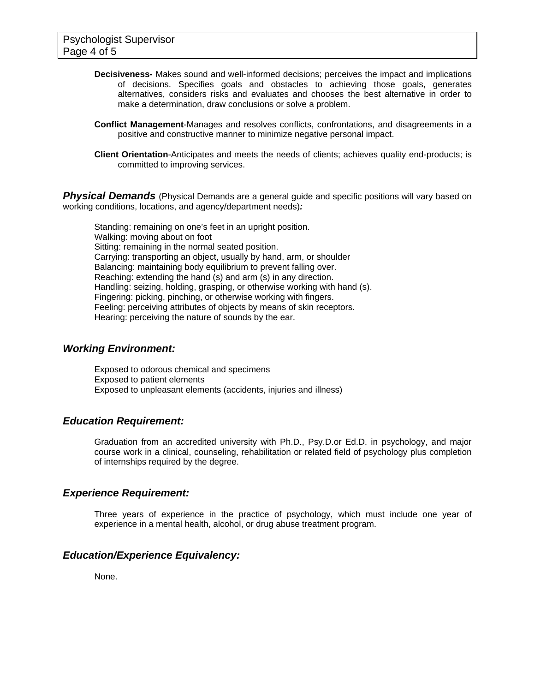- **Decisiveness-** Makes sound and well-informed decisions; perceives the impact and implications of decisions. Specifies goals and obstacles to achieving those goals, generates alternatives, considers risks and evaluates and chooses the best alternative in order to make a determination, draw conclusions or solve a problem.
- **Conflict Management**-Manages and resolves conflicts, confrontations, and disagreements in a positive and constructive manner to minimize negative personal impact.
- **Client Orientation**-Anticipates and meets the needs of clients; achieves quality end-products; is committed to improving services.

**Physical Demands** (Physical Demands are a general guide and specific positions will vary based on working conditions, locations, and agency/department needs)*:* 

Standing: remaining on one's feet in an upright position. Walking: moving about on foot Sitting: remaining in the normal seated position. Carrying: transporting an object, usually by hand, arm, or shoulder Balancing: maintaining body equilibrium to prevent falling over. Reaching: extending the hand (s) and arm (s) in any direction. Handling: seizing, holding, grasping, or otherwise working with hand (s). Fingering: picking, pinching, or otherwise working with fingers. Feeling: perceiving attributes of objects by means of skin receptors. Hearing: perceiving the nature of sounds by the ear.

### *Working Environment:*

Exposed to odorous chemical and specimens Exposed to patient elements Exposed to unpleasant elements (accidents, injuries and illness)

### *Education Requirement:*

Graduation from an accredited university with Ph.D., Psy.D.or Ed.D. in psychology, and major course work in a clinical, counseling, rehabilitation or related field of psychology plus completion of internships required by the degree.

### *Experience Requirement:*

Three years of experience in the practice of psychology, which must include one year of experience in a mental health, alcohol, or drug abuse treatment program.

## *Education/Experience Equivalency:*

None.